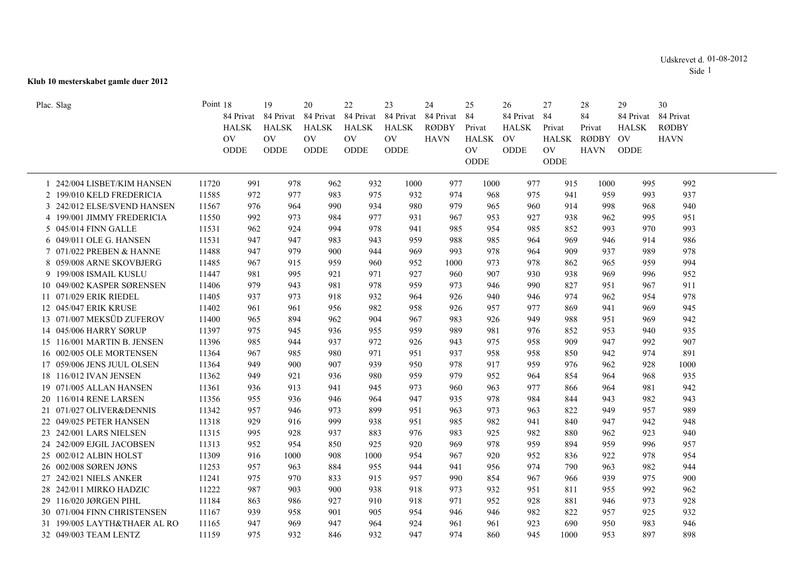## **Klub 10 mesterskabet gamle duer 2012**

| Plac. Slag                   | Point 18  | 84 Privat    | 19        | 20<br>84 Privat 84 Privat 84 Privat 84 Privat | 22           | 23           | 24<br>84 Privat | 25<br>84  | 26<br>84 Privat 84 | 27     | 28<br>84    | 29<br>84 Privat | 30<br>84 Privat |  |
|------------------------------|-----------|--------------|-----------|-----------------------------------------------|--------------|--------------|-----------------|-----------|--------------------|--------|-------------|-----------------|-----------------|--|
|                              |           | <b>HALSK</b> | HALSK     | <b>HALSK</b>                                  | <b>HALSK</b> | <b>HALSK</b> | <b>RØDBY</b>    | Privat    | <b>HALSK</b>       | Privat | Privat      | <b>HALSK</b>    | <b>RØDBY</b>    |  |
|                              | <b>OV</b> |              | <b>OV</b> | OV.                                           | <b>OV</b>    | <b>OV</b>    | <b>HAVN</b>     | HALSK     | <b>OV</b>          |        | HALSK RØDBY | OV              | <b>HAVN</b>     |  |
|                              |           | ODDE         | ODDE      | ODDE                                          | ODDE         | ODDE         |                 | <b>OV</b> | <b>ODDE</b>        | OV.    | <b>HAVN</b> | ODDE            |                 |  |
|                              |           |              |           |                                               |              |              |                 | ODDE      |                    | ODDE   |             |                 |                 |  |
| 1 242/004 LISBET/KIM HANSEN  | 11720     | 991          | 978       | 962                                           | 932          | 1000         | 977             | 1000      | 977                | 915    | 1000        | 995             | 992             |  |
| 2 199/010 KELD FREDERICIA    | 11585     | 972          | 977       | 983                                           | 975          | 932          | 974             | 968       | 975                | 941    | 959         | 993             | 937             |  |
| 3 242/012 ELSE/SVEND HANSEN  | 11567     | 976          | 964       | 990                                           | 934          | 980          | 979             | 965       | 960                | 914    | 998         | 968             | 940             |  |
| 4 199/001 JIMMY FREDERICIA   | 11550     | 992          | 973       | 984                                           | 977          | 931          | 967             | 953       | 927                | 938    | 962         | 995             | 951             |  |
| 5 045/014 FINN GALLE         | 11531     | 962          | 924       | 994                                           | 978          | 941          | 985             | 954       | 985                | 852    | 993         | 970             | 993             |  |
| 6 049/011 OLE G. HANSEN      | 11531     | 947          | 947       | 983                                           | 943          | 959          | 988             | 985       | 964                | 969    | 946         | 914             | 986             |  |
| 7 071/022 PREBEN & HANNE     | 11488     | 947          | 979       | 900                                           | 944          | 969          | 993             | 978       | 964                | 909    | 937         | 989             | 978             |  |
| 8 059/008 ARNE SKOVBJERG     | 11485     | 967          | 915       | 959                                           | 960          | 952          | 1000            | 973       | 978                | 862    | 965         | 959             | 994             |  |
| 9 199/008 ISMAIL KUSLU       | 11447     | 981          | 995       | 921                                           | 971          | 927          | 960             | 907       | 930                | 938    | 969         | 996             | 952             |  |
| 10 049/002 KASPER SØRENSEN   | 11406     | 979          | 943       | 981                                           | 978          | 959          | 973             | 946       | 990                | 827    | 951         | 967             | 911             |  |
| 11 071/029 ERIK RIEDEL       | 11405     | 937          | 973       | 918                                           | 932          | 964          | 926             | 940       | 946                | 974    | 962         | 954             | 978             |  |
| 12 045/047 ERIK KRUSE        | 11402     | 961          | 961       | 956                                           | 982          | 958          | 926             | 957       | 977                | 869    | 941         | 969             | 945             |  |
| 13 071/007 MEKSÜD ZUFEROV    | 11400     | 965          | 894       | 962                                           | 904          | 967          | 983             | 926       | 949                | 988    | 951         | 969             | 942             |  |
| 14 045/006 HARRY SØRUP       | 11397     | 975          | 945       | 936                                           | 955          | 959          | 989             | 981       | 976                | 852    | 953         | 940             | 935             |  |
| 15 116/001 MARTIN B. JENSEN  | 11396     | 985          | 944       | 937                                           | 972          | 926          | 943             | 975       | 958                | 909    | 947         | 992             | 907             |  |
| 16 002/005 OLE MORTENSEN     | 11364     | 967          | 985       | 980                                           | 971          | 951          | 937             | 958       | 958                | 850    | 942         | 974             | 891             |  |
| 17 059/006 JENS JUUL OLSEN   | 11364     | 949          | 900       | 907                                           | 939          | 950          | 978             | 917       | 959                | 976    | 962         | 928             | 1000            |  |
| 18 116/012 IVAN JENSEN       | 11362     | 949          | 921       | 936                                           | 980          | 959          | 979             | 952       | 964                | 854    | 964         | 968             | 935             |  |
| 19 071/005 ALLAN HANSEN      | 11361     | 936          | 913       | 941                                           | 945          | 973          | 960             | 963       | 977                | 866    | 964         | 981             | 942             |  |
| 20 116/014 RENE LARSEN       | 11356     | 955          | 936       | 946                                           | 964          | 947          | 935             | 978       | 984                | 844    | 943         | 982             | 943             |  |
| 21 071/027 OLIVER&DENNIS     | 11342     | 957          | 946       | 973                                           | 899          | 951          | 963             | 973       | 963                | 822    | 949         | 957             | 989             |  |
| 22 049/025 PETER HANSEN      | 11318     | 929          | 916       | 999                                           | 938          | 951          | 985             | 982       | 941                | 840    | 947         | 942             | 948             |  |
| 23 242/001 LARS NIELSEN      | 11315     | 995          | 928       | 937                                           | 883          | 976          | 983             | 925       | 982                | 880    | 962         | 923             | 940             |  |
| 24 242/009 EJGIL JACOBSEN    | 11313     | 952          | 954       | 850                                           | 925          | 920          | 969             | 978       | 959                | 894    | 959         | 996             | 957             |  |
| 25 002/012 ALBIN HOLST       | 11309     | 916          | 1000      | 908                                           | 1000         | 954          | 967             | 920       | 952                | 836    | 922         | 978             | 954             |  |
| 26 002/008 SØREN JØNS        | 11253     | 957          | 963       | 884                                           | 955          | 944          | 941             | 956       | 974                | 790    | 963         | 982             | 944             |  |
| 27 242/021 NIELS ANKER       | 11241     | 975          | 970       | 833                                           | 915          | 957          | 990             | 854       | 967                | 966    | 939         | 975             | 900             |  |
| 28 242/011 MIRKO HADZIC      | 11222     | 987          | 903       | 900                                           | 938          | 918          | 973             | 932       | 951                | 811    | 955         | 992             | 962             |  |
| 29 116/020 JØRGEN PIHL       | 11184     | 863          | 986       | 927                                           | 910          | 918          | 971             | 952       | 928                | 881    | 946         | 973             | 928             |  |
| 30 071/004 FINN CHRISTENSEN  | 11167     | 939          | 958       | 901                                           | 905          | 954          | 946             | 946       | 982                | 822    | 957         | 925             | 932             |  |
| 31 199/005 LAYTH&THAER AL RO | 11165     | 947          | 969       | 947                                           | 964          | 924          | 961             | 961       | 923                | 690    | 950         | 983             | 946             |  |
| 32 049/003 TEAM LENTZ        | 11159     | 975          | 932       | 846                                           | 932          | 947          | 974             | 860       | 945                | 1000   | 953         | 897             | 898             |  |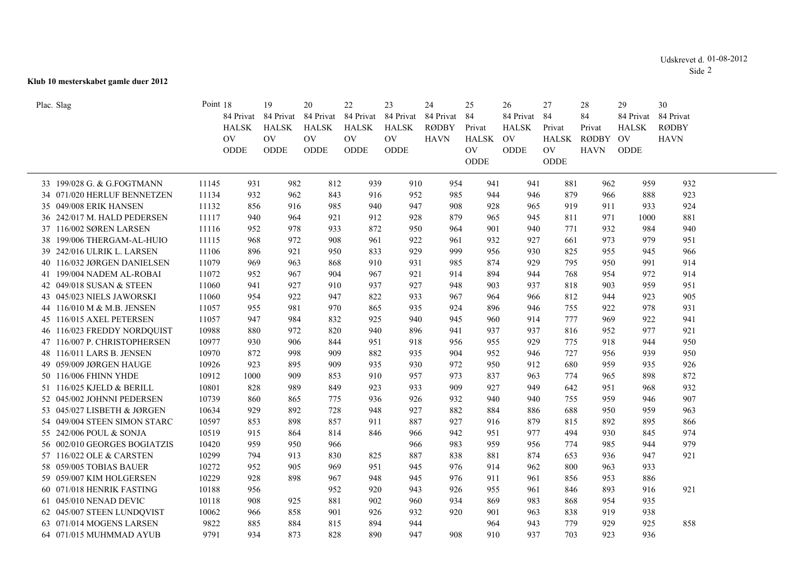## **Klub 10 mesterskabet gamle duer 2012**

| Plac. Slag                   | Point 18  |              | 19             | 20                    | 22                    | 23                     | 24           | 25           | 26           | 27           | 28           | 29              | 30           |  |
|------------------------------|-----------|--------------|----------------|-----------------------|-----------------------|------------------------|--------------|--------------|--------------|--------------|--------------|-----------------|--------------|--|
|                              |           | 84 Privat    | 84 Privat      | 84 Privat             | 84 Privat             | 84 Privat 84 Privat 84 |              |              | 84 Privat    | 84           | 84           | 84 Privat       | 84 Privat    |  |
|                              |           | <b>HALSK</b> | <b>HALSK</b>   | <b>HALSK</b>          | <b>HALSK</b>          | <b>HALSK</b>           | <b>RØDBY</b> | Privat       | <b>HALSK</b> | Privat       | Privat       | <b>HALSK</b>    | <b>RØDBY</b> |  |
|                              | <b>OV</b> |              | O <sub>V</sub> | $\overline{\text{O}}$ | $\overline{\text{O}}$ | <b>OV</b>              | <b>HAVN</b>  | <b>HALSK</b> | OV           | <b>HALSK</b> | <b>RØDBY</b> | $\overline{O}V$ | <b>HAVN</b>  |  |
|                              |           | <b>ODDE</b>  | <b>ODDE</b>    | <b>ODDE</b>           | <b>ODDE</b>           | ODDE                   |              | <b>OV</b>    | <b>ODDE</b>  | <b>OV</b>    | <b>HAVN</b>  | <b>ODDE</b>     |              |  |
|                              |           |              |                |                       |                       |                        |              | ODDE         |              | ODDE         |              |                 |              |  |
|                              |           |              |                |                       |                       |                        |              |              |              |              |              |                 |              |  |
| 33 199/028 G. & G.FOGTMANN   | 11145     | 931          | 982            | 812                   | 939                   | 910                    | 954          | 941          | 941          | 881          | 962          | 959             | 932          |  |
| 34 071/020 HERLUF BENNETZEN  | 11134     | 932          | 962            | 843                   | 916                   | 952                    | 985          | 944          | 946          | 879          | 966          | 888             | 923          |  |
| 35 049/008 ERIK HANSEN       | 11132     | 856          | 916            | 985                   | 940                   | 947                    | 908          | 928          | 965          | 919          | 911          | 933             | 924          |  |
| 36 242/017 M. HALD PEDERSEN  | 11117     | 940          | 964            | 921                   | 912                   | 928                    | 879          | 965          | 945          | 811          | 971          | 1000            | 881          |  |
| 37 116/002 SØREN LARSEN      | 11116     | 952          | 978            | 933                   | 872                   | 950                    | 964          | 901          | 940          | 771          | 932          | 984             | 940          |  |
| 38 199/006 THERGAM-AL-HUIO   | 11115     | 968          | 972            | 908                   | 961                   | 922                    | 961          | 932          | 927          | 661          | 973          | 979             | 951          |  |
| 39 242/016 ULRIK L. LARSEN   | 11106     | 896          | 921            | 950                   | 833                   | 929                    | 999          | 956          | 930          | 825          | 955          | 945             | 966          |  |
| 40 116/032 JØRGEN DANIELSEN  | 11079     | 969          | 963            | 868                   | 910                   | 931                    | 985          | 874          | 929          | 795          | 950          | 991             | 914          |  |
| 41 199/004 NADEM AL-ROBAI    | 11072     | 952          | 967            | 904                   | 967                   | 921                    | 914          | 894          | 944          | 768          | 954          | 972             | 914          |  |
| 42 049/018 SUSAN & STEEN     | 11060     | 941          | 927            | 910                   | 937                   | 927                    | 948          | 903          | 937          | 818          | 903          | 959             | 951          |  |
| 43 045/023 NIELS JAWORSKI    | 11060     | 954          | 922            | 947                   | 822                   | 933                    | 967          | 964          | 966          | 812          | 944          | 923             | 905          |  |
| 44 116/010 M & M.B. JENSEN   | 11057     | 955          | 981            | 970                   | 865                   | 935                    | 924          | 896          | 946          | 755          | 922          | 978             | 931          |  |
| 45 116/015 AXEL PETERSEN     | 11057     | 947          | 984            | 832                   | 925                   | 940                    | 945          | 960          | 914          | 777          | 969          | 922             | 941          |  |
| 46 116/023 FREDDY NORDQUIST  | 10988     | 880          | 972            | 820                   | 940                   | 896                    | 941          | 937          | 937          | 816          | 952          | 977             | 921          |  |
| 47 116/007 P. CHRISTOPHERSEN | 10977     | 930          | 906            | 844                   | 951                   | 918                    | 956          | 955          | 929          | 775          | 918          | 944             | 950          |  |
| 48 116/011 LARS B. JENSEN    | 10970     | 872          | 998            | 909                   | 882                   | 935                    | 904          | 952          | 946          | 727          | 956          | 939             | 950          |  |
| 49 059/009 JØRGEN HAUGE      | 10926     | 923          | 895            | 909                   | 935                   | 930                    | 972          | 950          | 912          | 680          | 959          | 935             | 926          |  |
| 50 116/006 FHINN YHDE        | 10912     | 1000         | 909            | 853                   | 910                   | 957                    | 973          | 837          | 963          | 774          | 965          | 898             | 872          |  |
| 51 116/025 KJELD & BERILL    | 10801     | 828          | 989            | 849                   | 923                   | 933                    | 909          | 927          | 949          | 642          | 951          | 968             | 932          |  |
| 52 045/002 JOHNNI PEDERSEN   | 10739     | 860          | 865            | 775                   | 936                   | 926                    | 932          | 940          | 940          | 755          | 959          | 946             | 907          |  |
| 53 045/027 LISBETH & JØRGEN  | 10634     | 929          | 892            | 728                   | 948                   | 927                    | 882          | 884          | 886          | 688          | 950          | 959             | 963          |  |
| 54 049/004 STEEN SIMON STARC | 10597     | 853          | 898            | 857                   | 911                   | 887                    | 927          | 916          | 879          | 815          | 892          | 895             | 866          |  |
| 55 242/006 POUL & SONJA      | 10519     | 915          | 864            | 814                   | 846                   | 966                    | 942          | 951          | 977          | 494          | 930          | 845             | 974          |  |
| 56 002/010 GEORGES BOGIATZIS | 10420     | 959          | 950            | 966                   |                       | 966                    | 983          | 959          | 956          | 774          | 985          | 944             | 979          |  |
| 57 116/022 OLE & CARSTEN     | 10299     | 794          | 913            | 830                   | 825                   | 887                    | 838          | 881          | 874          | 653          | 936          | 947             | 921          |  |
| 58 059/005 TOBIAS BAUER      | 10272     | 952          | 905            | 969                   | 951                   | 945                    | 976          | 914          | 962          | 800          | 963          | 933             |              |  |
| 59 059/007 KIM HOLGERSEN     | 10229     | 928          | 898            | 967                   | 948                   | 945                    | 976          | 911          | 961          | 856          | 953          | 886             |              |  |
| 60 071/018 HENRIK FASTING    | 10188     | 956          |                | 952                   | 920                   | 943                    | 926          | 955          | 961          | 846          | 893          | 916             | 921          |  |
| 61 045/010 NENAD DEVIC       | 10118     | 908          | 925            | 881                   | 902                   | 960                    | 934          | 869          | 983          | 868          | 954          | 935             |              |  |
| 62 045/007 STEEN LUNDQVIST   | 10062     | 966          | 858            | 901                   | 926                   | 932                    | 920          | 901          | 963          | 838          | 919          | 938             |              |  |
| 63 071/014 MOGENS LARSEN     | 9822      | 885          | 884            | 815                   | 894                   | 944                    |              | 964          | 943          | 779          | 929          | 925             | 858          |  |
| 64 071/015 MUHMMAD AYUB      | 9791      | 934          | 873            | 828                   | 890                   | 947                    | 908          | 910          | 937          | 703          | 923          | 936             |              |  |
|                              |           |              |                |                       |                       |                        |              |              |              |              |              |                 |              |  |